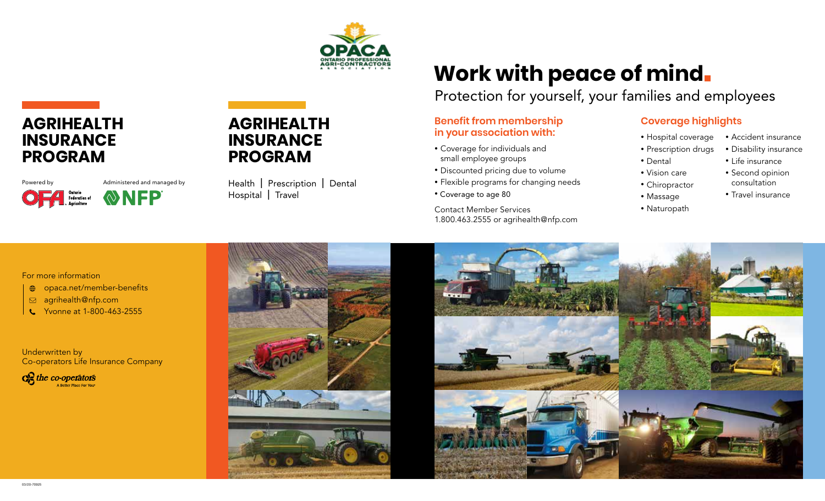

# **AGRIHEALTH INSURANCE PROGRAM**

Powered by **Administered** and managed by Ontario<br>Federation of<br>Agriculture WNFP

## **AGRIHEALTH INSURANCE PROGRAM**

Health | Prescription | Dental Hospital | Travel

# **Work with peace of mind**

Protection for yourself, your families and employees

#### **Benefit from membership in your association with:**

- Coverage for individuals and small employee groups
- Discounted pricing due to volume
- Flexible programs for changing needs
- Coverage to age 80

Contact Member Services 1.800.463.2555 or agrihealth@nfp.com

#### **Coverage highlights**

- Hospital coverage • Accident insurance
- Prescription drugs
	- Life insurance
- Vision care

• Chiropractor • Massage • Naturopath

• Dental

- consultation
- Travel insurance

• Disability insurance

• Second opinion

#### For more information

- opaca.net/member-benefits
- agrihealth@nfp.com
- Yvonne at 1-800-463-2555

Underwritten by Co-operators Life Insurance Company

 $\mathbb{R}$  the co-operators A Reffer Place For You